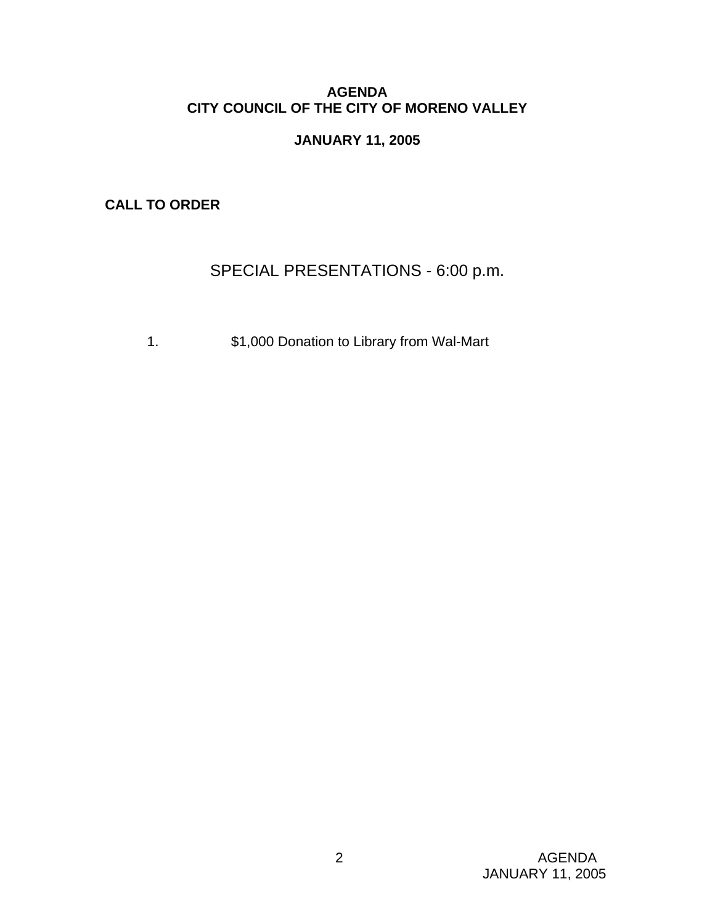## **AGENDA CITY COUNCIL OF THE CITY OF MORENO VALLEY**

## **JANUARY 11, 2005**

**CALL TO ORDER** 

# SPECIAL PRESENTATIONS - 6:00 p.m.

1. \$1,000 Donation to Library from Wal-Mart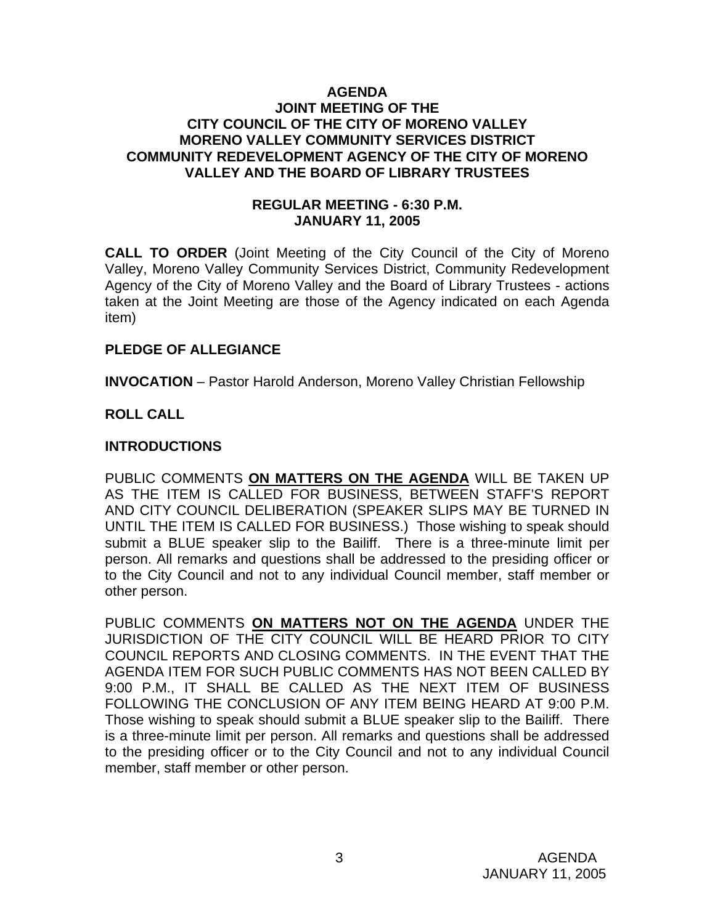#### **AGENDA JOINT MEETING OF THE CITY COUNCIL OF THE CITY OF MORENO VALLEY MORENO VALLEY COMMUNITY SERVICES DISTRICT COMMUNITY REDEVELOPMENT AGENCY OF THE CITY OF MORENO VALLEY AND THE BOARD OF LIBRARY TRUSTEES**

## **REGULAR MEETING - 6:30 P.M. JANUARY 11, 2005**

**CALL TO ORDER** (Joint Meeting of the City Council of the City of Moreno Valley, Moreno Valley Community Services District, Community Redevelopment Agency of the City of Moreno Valley and the Board of Library Trustees - actions taken at the Joint Meeting are those of the Agency indicated on each Agenda item)

## **PLEDGE OF ALLEGIANCE**

**INVOCATION** – Pastor Harold Anderson, Moreno Valley Christian Fellowship

## **ROLL CALL**

#### **INTRODUCTIONS**

PUBLIC COMMENTS **ON MATTERS ON THE AGENDA** WILL BE TAKEN UP AS THE ITEM IS CALLED FOR BUSINESS, BETWEEN STAFF'S REPORT AND CITY COUNCIL DELIBERATION (SPEAKER SLIPS MAY BE TURNED IN UNTIL THE ITEM IS CALLED FOR BUSINESS.) Those wishing to speak should submit a BLUE speaker slip to the Bailiff. There is a three-minute limit per person. All remarks and questions shall be addressed to the presiding officer or to the City Council and not to any individual Council member, staff member or other person.

PUBLIC COMMENTS **ON MATTERS NOT ON THE AGENDA** UNDER THE JURISDICTION OF THE CITY COUNCIL WILL BE HEARD PRIOR TO CITY COUNCIL REPORTS AND CLOSING COMMENTS. IN THE EVENT THAT THE AGENDA ITEM FOR SUCH PUBLIC COMMENTS HAS NOT BEEN CALLED BY 9:00 P.M., IT SHALL BE CALLED AS THE NEXT ITEM OF BUSINESS FOLLOWING THE CONCLUSION OF ANY ITEM BEING HEARD AT 9:00 P.M. Those wishing to speak should submit a BLUE speaker slip to the Bailiff. There is a three-minute limit per person. All remarks and questions shall be addressed to the presiding officer or to the City Council and not to any individual Council member, staff member or other person.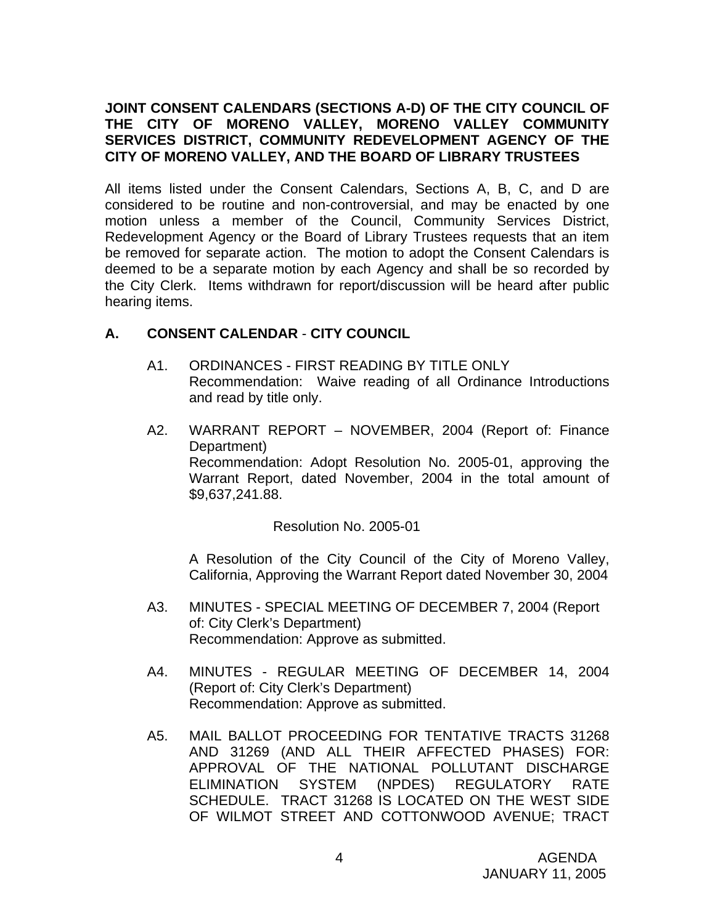## **JOINT CONSENT CALENDARS (SECTIONS A-D) OF THE CITY COUNCIL OF THE CITY OF MORENO VALLEY, MORENO VALLEY COMMUNITY SERVICES DISTRICT, COMMUNITY REDEVELOPMENT AGENCY OF THE CITY OF MORENO VALLEY, AND THE BOARD OF LIBRARY TRUSTEES**

All items listed under the Consent Calendars, Sections A, B, C, and D are considered to be routine and non-controversial, and may be enacted by one motion unless a member of the Council, Community Services District, Redevelopment Agency or the Board of Library Trustees requests that an item be removed for separate action. The motion to adopt the Consent Calendars is deemed to be a separate motion by each Agency and shall be so recorded by the City Clerk. Items withdrawn for report/discussion will be heard after public hearing items.

## **A. CONSENT CALENDAR** - **CITY COUNCIL**

- A1. ORDINANCES FIRST READING BY TITLE ONLY Recommendation: Waive reading of all Ordinance Introductions and read by title only.
- A2. WARRANT REPORT NOVEMBER, 2004 (Report of: Finance Department) Recommendation: Adopt Resolution No. 2005-01, approving the Warrant Report, dated November, 2004 in the total amount of \$9,637,241.88.

Resolution No. 2005-01

 A Resolution of the City Council of the City of Moreno Valley, California, Approving the Warrant Report dated November 30, 2004

- A3. MINUTES SPECIAL MEETING OF DECEMBER 7, 2004 (Report of: City Clerk's Department) Recommendation: Approve as submitted.
- A4. MINUTES REGULAR MEETING OF DECEMBER 14, 2004 (Report of: City Clerk's Department) Recommendation: Approve as submitted.
- A5. MAIL BALLOT PROCEEDING FOR TENTATIVE TRACTS 31268 AND 31269 (AND ALL THEIR AFFECTED PHASES) FOR: APPROVAL OF THE NATIONAL POLLUTANT DISCHARGE ELIMINATION SYSTEM (NPDES) REGULATORY RATE SCHEDULE. TRACT 31268 IS LOCATED ON THE WEST SIDE OF WILMOT STREET AND COTTONWOOD AVENUE; TRACT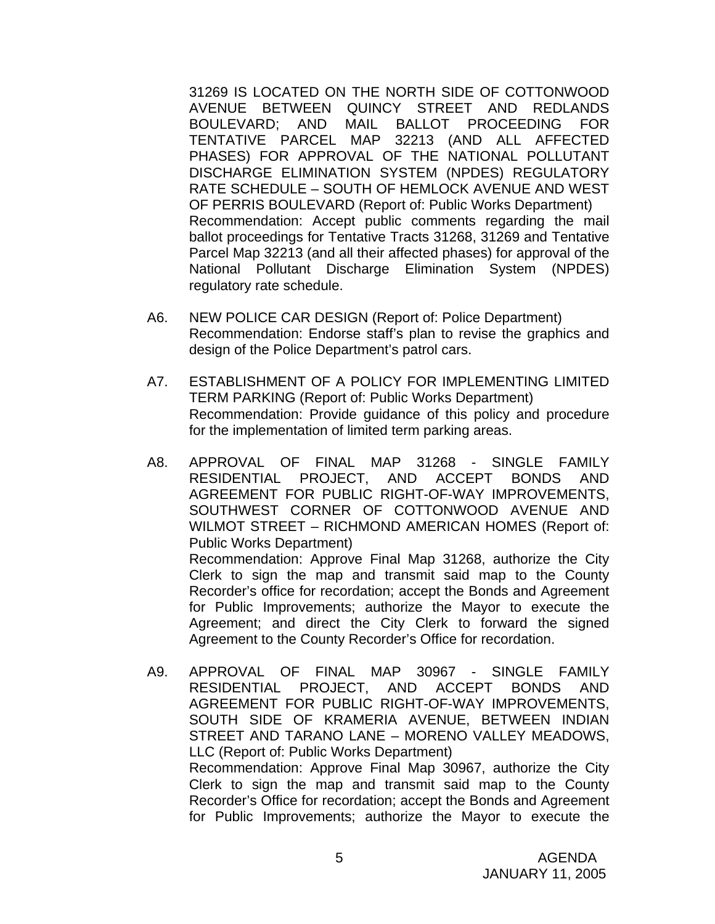31269 IS LOCATED ON THE NORTH SIDE OF COTTONWOOD AVENUE BETWEEN QUINCY STREET AND REDLANDS BOULEVARD; AND MAIL BALLOT PROCEEDING FOR TENTATIVE PARCEL MAP 32213 (AND ALL AFFECTED PHASES) FOR APPROVAL OF THE NATIONAL POLLUTANT DISCHARGE ELIMINATION SYSTEM (NPDES) REGULATORY RATE SCHEDULE – SOUTH OF HEMLOCK AVENUE AND WEST OF PERRIS BOULEVARD (Report of: Public Works Department) Recommendation: Accept public comments regarding the mail ballot proceedings for Tentative Tracts 31268, 31269 and Tentative Parcel Map 32213 (and all their affected phases) for approval of the National Pollutant Discharge Elimination System (NPDES) regulatory rate schedule.

- A6. NEW POLICE CAR DESIGN (Report of: Police Department) Recommendation: Endorse staff's plan to revise the graphics and design of the Police Department's patrol cars.
- A7. ESTABLISHMENT OF A POLICY FOR IMPLEMENTING LIMITED TERM PARKING (Report of: Public Works Department) Recommendation: Provide guidance of this policy and procedure for the implementation of limited term parking areas.
- A8. APPROVAL OF FINAL MAP 31268 SINGLE FAMILY RESIDENTIAL PROJECT, AND ACCEPT BONDS AND AGREEMENT FOR PUBLIC RIGHT-OF-WAY IMPROVEMENTS, SOUTHWEST CORNER OF COTTONWOOD AVENUE AND WILMOT STREET – RICHMOND AMERICAN HOMES (Report of: Public Works Department) Recommendation: Approve Final Map 31268, authorize the City Clerk to sign the map and transmit said map to the County Recorder's office for recordation; accept the Bonds and Agreement for Public Improvements; authorize the Mayor to execute the Agreement; and direct the City Clerk to forward the signed Agreement to the County Recorder's Office for recordation.
- A9. APPROVAL OF FINAL MAP 30967 SINGLE FAMILY RESIDENTIAL PROJECT, AND ACCEPT BONDS AND AGREEMENT FOR PUBLIC RIGHT-OF-WAY IMPROVEMENTS, SOUTH SIDE OF KRAMERIA AVENUE, BETWEEN INDIAN STREET AND TARANO LANE – MORENO VALLEY MEADOWS, LLC (Report of: Public Works Department) Recommendation: Approve Final Map 30967, authorize the City Clerk to sign the map and transmit said map to the County Recorder's Office for recordation; accept the Bonds and Agreement for Public Improvements; authorize the Mayor to execute the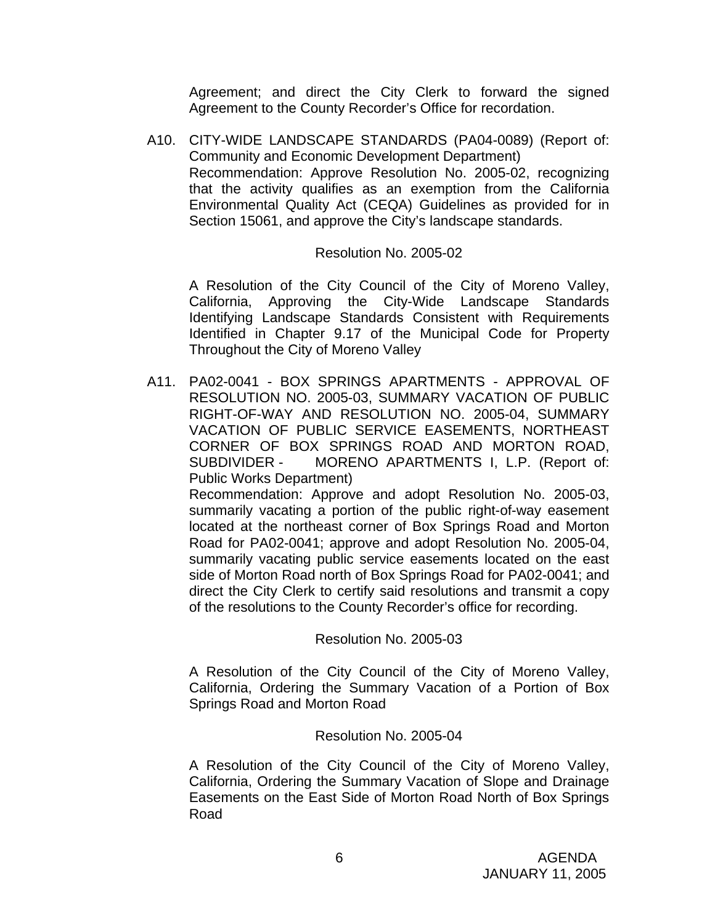Agreement; and direct the City Clerk to forward the signed Agreement to the County Recorder's Office for recordation.

A10. CITY-WIDE LANDSCAPE STANDARDS (PA04-0089) (Report of: Community and Economic Development Department) Recommendation: Approve Resolution No. 2005-02, recognizing that the activity qualifies as an exemption from the California Environmental Quality Act (CEQA) Guidelines as provided for in Section 15061, and approve the City's landscape standards.

#### Resolution No. 2005-02

A Resolution of the City Council of the City of Moreno Valley, California, Approving the City-Wide Landscape Standards Identifying Landscape Standards Consistent with Requirements Identified in Chapter 9.17 of the Municipal Code for Property Throughout the City of Moreno Valley

A11. PA02-0041 - BOX SPRINGS APARTMENTS - APPROVAL OF RESOLUTION NO. 2005-03, SUMMARY VACATION OF PUBLIC RIGHT-OF-WAY AND RESOLUTION NO. 2005-04, SUMMARY VACATION OF PUBLIC SERVICE EASEMENTS, NORTHEAST CORNER OF BOX SPRINGS ROAD AND MORTON ROAD, SUBDIVIDER - MORENO APARTMENTS I, L.P. (Report of: Public Works Department)

 Recommendation: Approve and adopt Resolution No. 2005-03, summarily vacating a portion of the public right-of-way easement located at the northeast corner of Box Springs Road and Morton Road for PA02-0041; approve and adopt Resolution No. 2005-04, summarily vacating public service easements located on the east side of Morton Road north of Box Springs Road for PA02-0041; and direct the City Clerk to certify said resolutions and transmit a copy of the resolutions to the County Recorder's office for recording.

#### Resolution No. 2005-03

 A Resolution of the City Council of the City of Moreno Valley, California, Ordering the Summary Vacation of a Portion of Box Springs Road and Morton Road

#### Resolution No. 2005-04

A Resolution of the City Council of the City of Moreno Valley, California, Ordering the Summary Vacation of Slope and Drainage Easements on the East Side of Morton Road North of Box Springs Road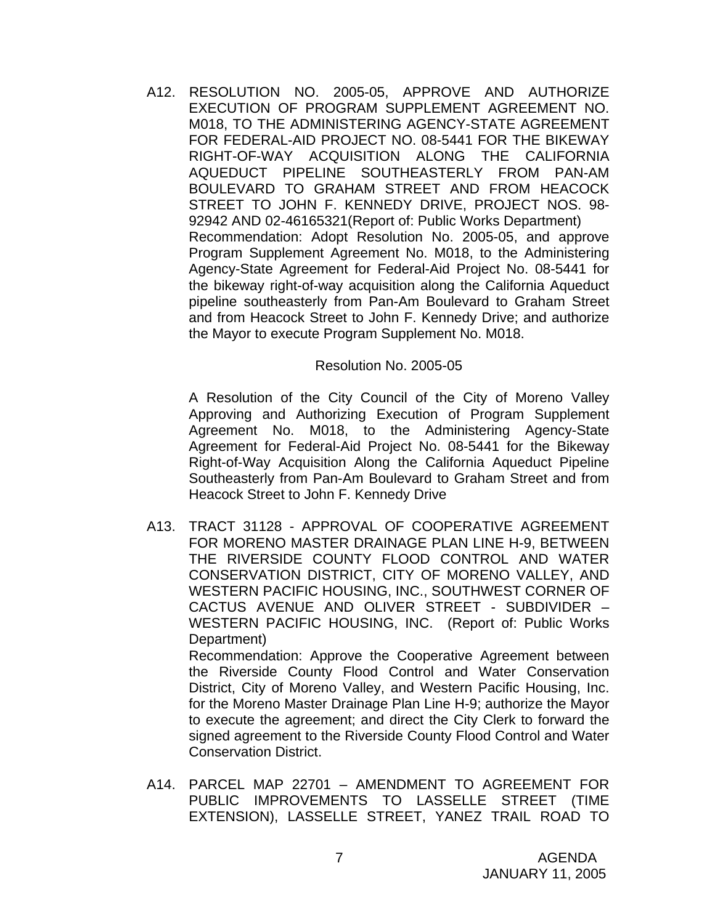A12. RESOLUTION NO. 2005-05, APPROVE AND AUTHORIZE EXECUTION OF PROGRAM SUPPLEMENT AGREEMENT NO. M018, TO THE ADMINISTERING AGENCY-STATE AGREEMENT FOR FEDERAL-AID PROJECT NO. 08-5441 FOR THE BIKEWAY RIGHT-OF-WAY ACQUISITION ALONG THE CALIFORNIA AQUEDUCT PIPELINE SOUTHEASTERLY FROM PAN-AM BOULEVARD TO GRAHAM STREET AND FROM HEACOCK STREET TO JOHN F. KENNEDY DRIVE, PROJECT NOS. 98- 92942 AND 02-46165321(Report of: Public Works Department) Recommendation: Adopt Resolution No. 2005-05, and approve Program Supplement Agreement No. M018, to the Administering Agency-State Agreement for Federal-Aid Project No. 08-5441 for the bikeway right-of-way acquisition along the California Aqueduct pipeline southeasterly from Pan-Am Boulevard to Graham Street and from Heacock Street to John F. Kennedy Drive; and authorize the Mayor to execute Program Supplement No. M018.

#### Resolution No. 2005-05

A Resolution of the City Council of the City of Moreno Valley Approving and Authorizing Execution of Program Supplement Agreement No. M018, to the Administering Agency-State Agreement for Federal-Aid Project No. 08-5441 for the Bikeway Right-of-Way Acquisition Along the California Aqueduct Pipeline Southeasterly from Pan-Am Boulevard to Graham Street and from Heacock Street to John F. Kennedy Drive

A13. TRACT 31128 - APPROVAL OF COOPERATIVE AGREEMENT FOR MORENO MASTER DRAINAGE PLAN LINE H-9, BETWEEN THE RIVERSIDE COUNTY FLOOD CONTROL AND WATER CONSERVATION DISTRICT, CITY OF MORENO VALLEY, AND WESTERN PACIFIC HOUSING, INC., SOUTHWEST CORNER OF CACTUS AVENUE AND OLIVER STREET - SUBDIVIDER – WESTERN PACIFIC HOUSING, INC. (Report of: Public Works Department)

 Recommendation: Approve the Cooperative Agreement between the Riverside County Flood Control and Water Conservation District, City of Moreno Valley, and Western Pacific Housing, Inc. for the Moreno Master Drainage Plan Line H-9; authorize the Mayor to execute the agreement; and direct the City Clerk to forward the signed agreement to the Riverside County Flood Control and Water Conservation District.

A14. PARCEL MAP 22701 – AMENDMENT TO AGREEMENT FOR PUBLIC IMPROVEMENTS TO LASSELLE STREET (TIME EXTENSION), LASSELLE STREET, YANEZ TRAIL ROAD TO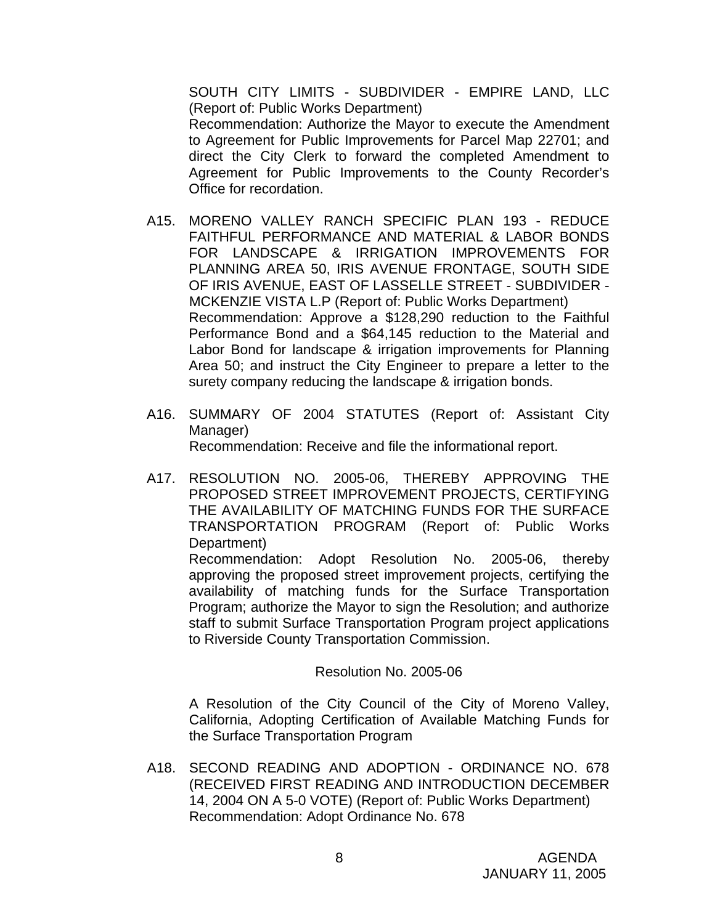SOUTH CITY LIMITS - SUBDIVIDER - EMPIRE LAND, LLC (Report of: Public Works Department) Recommendation: Authorize the Mayor to execute the Amendment to Agreement for Public Improvements for Parcel Map 22701; and direct the City Clerk to forward the completed Amendment to Agreement for Public Improvements to the County Recorder's Office for recordation.

- A15. MORENO VALLEY RANCH SPECIFIC PLAN 193 REDUCE FAITHFUL PERFORMANCE AND MATERIAL & LABOR BONDS FOR LANDSCAPE & IRRIGATION IMPROVEMENTS FOR PLANNING AREA 50, IRIS AVENUE FRONTAGE, SOUTH SIDE OF IRIS AVENUE, EAST OF LASSELLE STREET - SUBDIVIDER - MCKENZIE VISTA L.P (Report of: Public Works Department) Recommendation: Approve a \$128,290 reduction to the Faithful Performance Bond and a \$64,145 reduction to the Material and Labor Bond for landscape & irrigation improvements for Planning Area 50; and instruct the City Engineer to prepare a letter to the surety company reducing the landscape & irrigation bonds.
- A16. SUMMARY OF 2004 STATUTES (Report of: Assistant City Manager) Recommendation: Receive and file the informational report.
- A17. RESOLUTION NO. 2005-06, THEREBY APPROVING THE PROPOSED STREET IMPROVEMENT PROJECTS, CERTIFYING THE AVAILABILITY OF MATCHING FUNDS FOR THE SURFACE TRANSPORTATION PROGRAM (Report of: Public Works Department)

 Recommendation: Adopt Resolution No. 2005-06, thereby approving the proposed street improvement projects, certifying the availability of matching funds for the Surface Transportation Program; authorize the Mayor to sign the Resolution; and authorize staff to submit Surface Transportation Program project applications to Riverside County Transportation Commission.

#### Resolution No. 2005-06

 A Resolution of the City Council of the City of Moreno Valley, California, Adopting Certification of Available Matching Funds for the Surface Transportation Program

A18. SECOND READING AND ADOPTION - ORDINANCE NO. 678 (RECEIVED FIRST READING AND INTRODUCTION DECEMBER 14, 2004 ON A 5-0 VOTE) (Report of: Public Works Department) Recommendation: Adopt Ordinance No. 678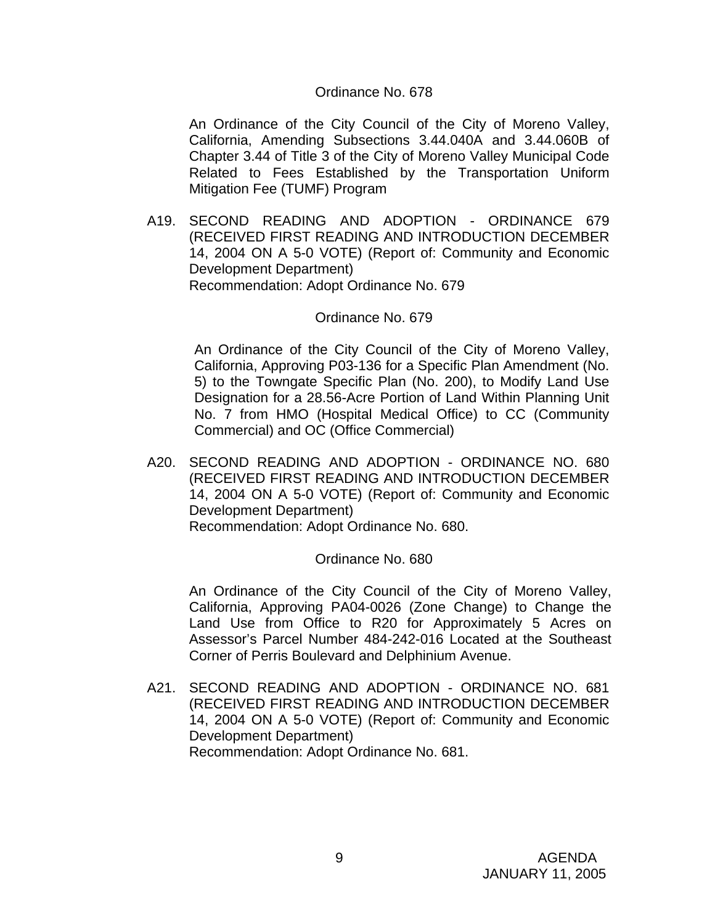#### Ordinance No. 678

An Ordinance of the City Council of the City of Moreno Valley, California, Amending Subsections 3.44.040A and 3.44.060B of Chapter 3.44 of Title 3 of the City of Moreno Valley Municipal Code Related to Fees Established by the Transportation Uniform Mitigation Fee (TUMF) Program

A19. SECOND READING AND ADOPTION - ORDINANCE 679 (RECEIVED FIRST READING AND INTRODUCTION DECEMBER 14, 2004 ON A 5-0 VOTE) (Report of: Community and Economic Development Department) Recommendation: Adopt Ordinance No. 679

#### Ordinance No. 679

 An Ordinance of the City Council of the City of Moreno Valley, California, Approving P03-136 for a Specific Plan Amendment (No. 5) to the Towngate Specific Plan (No. 200), to Modify Land Use Designation for a 28.56-Acre Portion of Land Within Planning Unit No. 7 from HMO (Hospital Medical Office) to CC (Community Commercial) and OC (Office Commercial)

A20. SECOND READING AND ADOPTION - ORDINANCE NO. 680 (RECEIVED FIRST READING AND INTRODUCTION DECEMBER 14, 2004 ON A 5-0 VOTE) (Report of: Community and Economic Development Department) Recommendation: Adopt Ordinance No. 680.

#### Ordinance No. 680

An Ordinance of the City Council of the City of Moreno Valley, California, Approving PA04-0026 (Zone Change) to Change the Land Use from Office to R20 for Approximately 5 Acres on Assessor's Parcel Number 484-242-016 Located at the Southeast Corner of Perris Boulevard and Delphinium Avenue.

A21. SECOND READING AND ADOPTION - ORDINANCE NO. 681 (RECEIVED FIRST READING AND INTRODUCTION DECEMBER 14, 2004 ON A 5-0 VOTE) (Report of: Community and Economic Development Department) Recommendation: Adopt Ordinance No. 681.

> 9 AGENDA JANUARY 11, 2005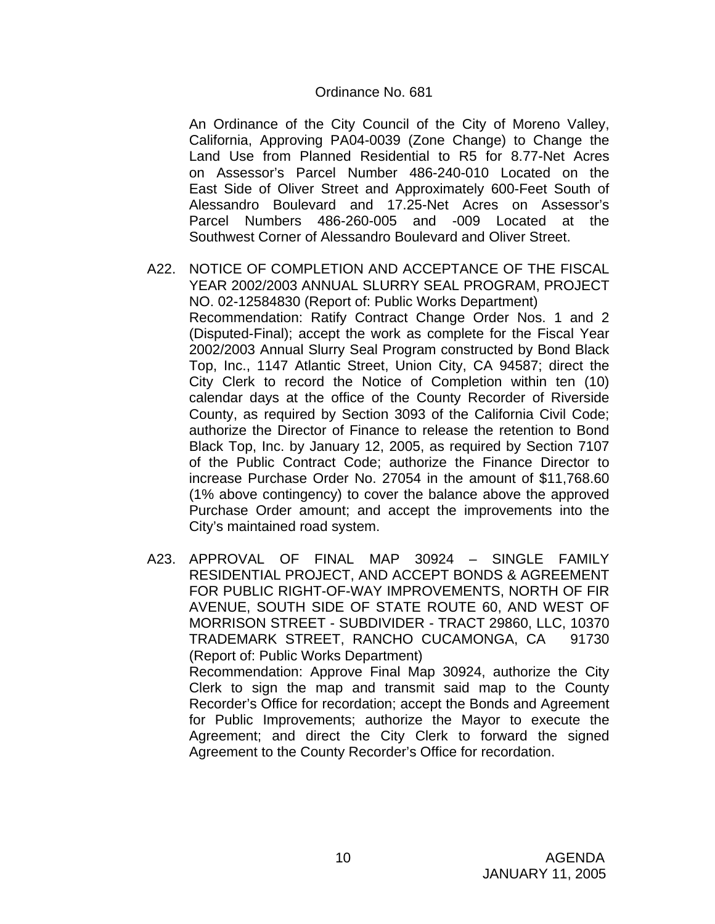#### Ordinance No. 681

An Ordinance of the City Council of the City of Moreno Valley, California, Approving PA04-0039 (Zone Change) to Change the Land Use from Planned Residential to R5 for 8.77-Net Acres on Assessor's Parcel Number 486-240-010 Located on the East Side of Oliver Street and Approximately 600-Feet South of Alessandro Boulevard and 17.25-Net Acres on Assessor's Parcel Numbers 486-260-005 and -009 Located at the Southwest Corner of Alessandro Boulevard and Oliver Street.

- A22. NOTICE OF COMPLETION AND ACCEPTANCE OF THE FISCAL YEAR 2002/2003 ANNUAL SLURRY SEAL PROGRAM, PROJECT NO. 02-12584830 (Report of: Public Works Department) Recommendation: Ratify Contract Change Order Nos. 1 and 2 (Disputed-Final); accept the work as complete for the Fiscal Year 2002/2003 Annual Slurry Seal Program constructed by Bond Black Top, Inc., 1147 Atlantic Street, Union City, CA 94587; direct the City Clerk to record the Notice of Completion within ten (10) calendar days at the office of the County Recorder of Riverside County, as required by Section 3093 of the California Civil Code; authorize the Director of Finance to release the retention to Bond Black Top, Inc. by January 12, 2005, as required by Section 7107 of the Public Contract Code; authorize the Finance Director to increase Purchase Order No. 27054 in the amount of \$11,768.60 (1% above contingency) to cover the balance above the approved Purchase Order amount; and accept the improvements into the City's maintained road system.
- A23. APPROVAL OF FINAL MAP 30924 SINGLE FAMILY RESIDENTIAL PROJECT, AND ACCEPT BONDS & AGREEMENT FOR PUBLIC RIGHT-OF-WAY IMPROVEMENTS, NORTH OF FIR AVENUE, SOUTH SIDE OF STATE ROUTE 60, AND WEST OF MORRISON STREET - SUBDIVIDER - TRACT 29860, LLC, 10370 TRADEMARK STREET, RANCHO CUCAMONGA, CA 91730 (Report of: Public Works Department) Recommendation: Approve Final Map 30924, authorize the City Clerk to sign the map and transmit said map to the County Recorder's Office for recordation; accept the Bonds and Agreement for Public Improvements; authorize the Mayor to execute the Agreement; and direct the City Clerk to forward the signed

Agreement to the County Recorder's Office for recordation.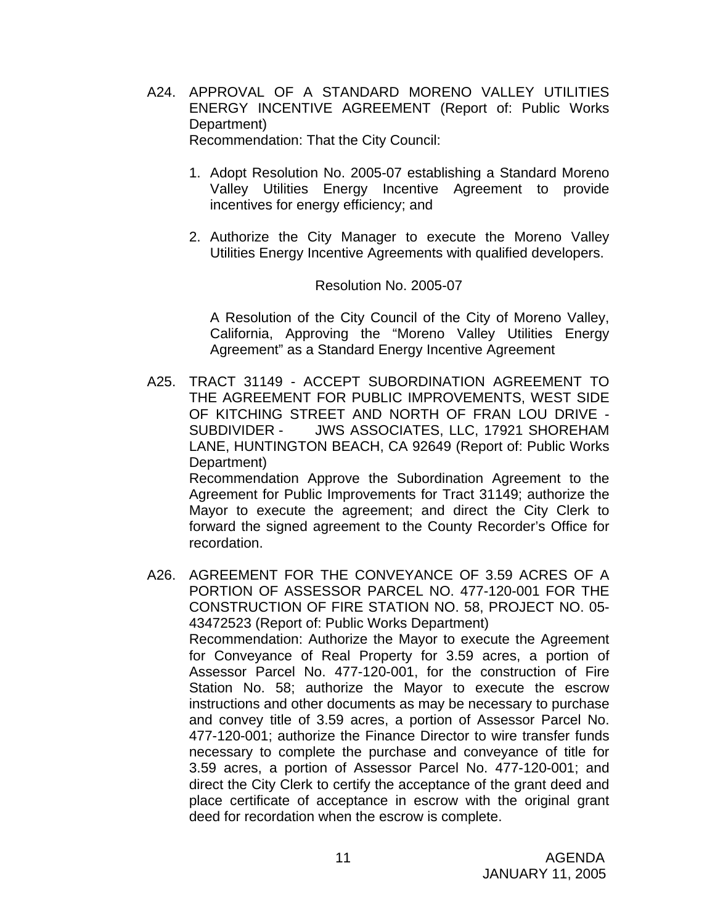A24. APPROVAL OF A STANDARD MORENO VALLEY UTILITIES ENERGY INCENTIVE AGREEMENT (Report of: Public Works Department) Recommendation: That the City Council:

1. Adopt Resolution No. 2005-07 establishing a Standard Moreno Valley Utilities Energy Incentive Agreement to provide incentives for energy efficiency; and

2. Authorize the City Manager to execute the Moreno Valley Utilities Energy Incentive Agreements with qualified developers.

#### Resolution No. 2005-07

A Resolution of the City Council of the City of Moreno Valley, California, Approving the "Moreno Valley Utilities Energy Agreement" as a Standard Energy Incentive Agreement

A25. TRACT 31149 - ACCEPT SUBORDINATION AGREEMENT TO THE AGREEMENT FOR PUBLIC IMPROVEMENTS, WEST SIDE OF KITCHING STREET AND NORTH OF FRAN LOU DRIVE - SUBDIVIDER - JWS ASSOCIATES, LLC, 17921 SHOREHAM LANE, HUNTINGTON BEACH, CA 92649 (Report of: Public Works Department)

 Recommendation Approve the Subordination Agreement to the Agreement for Public Improvements for Tract 31149; authorize the Mayor to execute the agreement; and direct the City Clerk to forward the signed agreement to the County Recorder's Office for recordation.

A26. AGREEMENT FOR THE CONVEYANCE OF 3.59 ACRES OF A PORTION OF ASSESSOR PARCEL NO. 477-120-001 FOR THE CONSTRUCTION OF FIRE STATION NO. 58, PROJECT NO. 05- 43472523 (Report of: Public Works Department) Recommendation: Authorize the Mayor to execute the Agreement for Conveyance of Real Property for 3.59 acres, a portion of Assessor Parcel No. 477-120-001, for the construction of Fire Station No. 58; authorize the Mayor to execute the escrow instructions and other documents as may be necessary to purchase and convey title of 3.59 acres, a portion of Assessor Parcel No. 477-120-001; authorize the Finance Director to wire transfer funds necessary to complete the purchase and conveyance of title for 3.59 acres, a portion of Assessor Parcel No. 477-120-001; and direct the City Clerk to certify the acceptance of the grant deed and place certificate of acceptance in escrow with the original grant deed for recordation when the escrow is complete.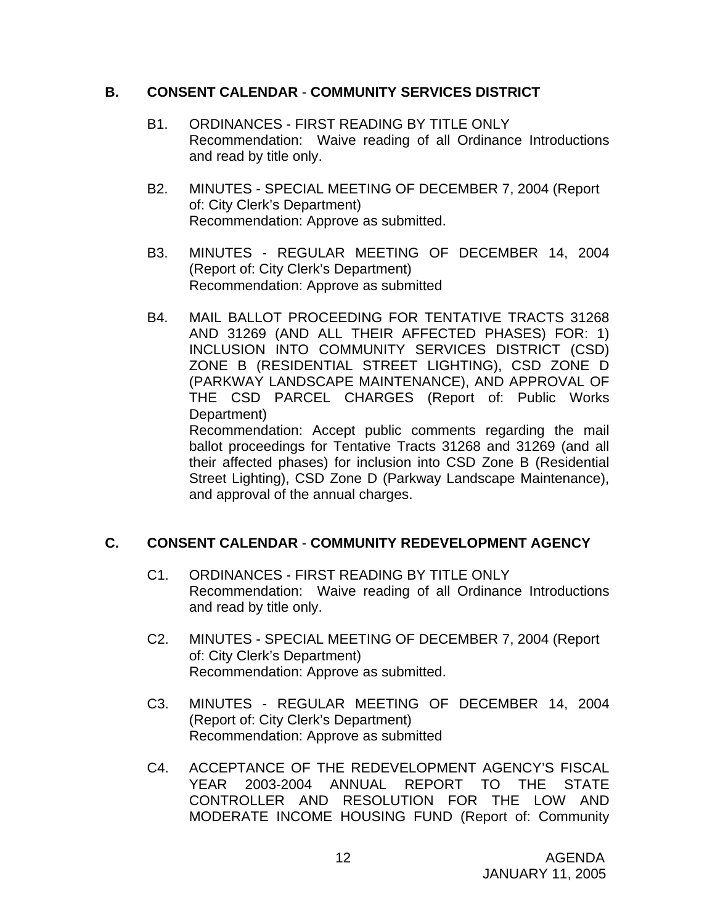## **B. CONSENT CALENDAR** - **COMMUNITY SERVICES DISTRICT**

- B1. ORDINANCES FIRST READING BY TITLE ONLY Recommendation: Waive reading of all Ordinance Introductions and read by title only.
- B2. MINUTES SPECIAL MEETING OF DECEMBER 7, 2004 (Report of: City Clerk's Department) Recommendation: Approve as submitted.
- B3. MINUTES REGULAR MEETING OF DECEMBER 14, 2004 (Report of: City Clerk's Department) Recommendation: Approve as submitted
- B4. MAIL BALLOT PROCEEDING FOR TENTATIVE TRACTS 31268 AND 31269 (AND ALL THEIR AFFECTED PHASES) FOR: 1) INCLUSION INTO COMMUNITY SERVICES DISTRICT (CSD) ZONE B (RESIDENTIAL STREET LIGHTING), CSD ZONE D (PARKWAY LANDSCAPE MAINTENANCE), AND APPROVAL OF THE CSD PARCEL CHARGES (Report of: Public Works Department) Recommendation: Accept public comments regarding the mail

ballot proceedings for Tentative Tracts 31268 and 31269 (and all their affected phases) for inclusion into CSD Zone B (Residential Street Lighting), CSD Zone D (Parkway Landscape Maintenance), and approval of the annual charges.

## **C. CONSENT CALENDAR** - **COMMUNITY REDEVELOPMENT AGENCY**

- C1. ORDINANCES FIRST READING BY TITLE ONLY Recommendation: Waive reading of all Ordinance Introductions and read by title only.
- C2. MINUTES SPECIAL MEETING OF DECEMBER 7, 2004 (Report of: City Clerk's Department) Recommendation: Approve as submitted.
- C3. MINUTES REGULAR MEETING OF DECEMBER 14, 2004 (Report of: City Clerk's Department) Recommendation: Approve as submitted
- C4. ACCEPTANCE OF THE REDEVELOPMENT AGENCY'S FISCAL YEAR 2003-2004 ANNUAL REPORT TO THE STATE CONTROLLER AND RESOLUTION FOR THE LOW AND MODERATE INCOME HOUSING FUND (Report of: Community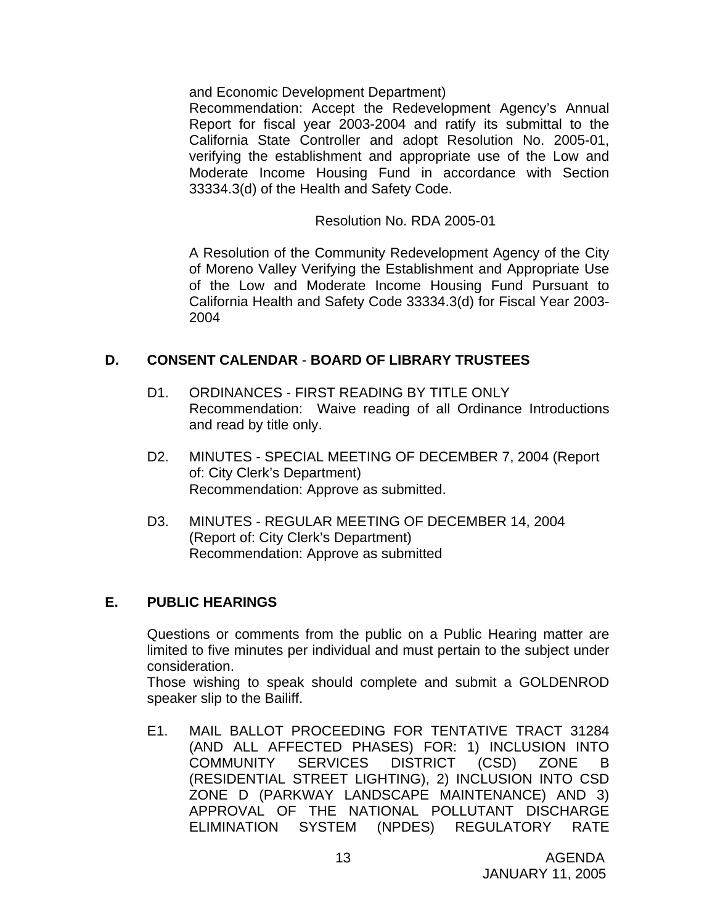and Economic Development Department)

Recommendation: Accept the Redevelopment Agency's Annual Report for fiscal year 2003-2004 and ratify its submittal to the California State Controller and adopt Resolution No. 2005-01, verifying the establishment and appropriate use of the Low and Moderate Income Housing Fund in accordance with Section 33334.3(d) of the Health and Safety Code.

Resolution No. RDA 2005-01

A Resolution of the Community Redevelopment Agency of the City of Moreno Valley Verifying the Establishment and Appropriate Use of the Low and Moderate Income Housing Fund Pursuant to California Health and Safety Code 33334.3(d) for Fiscal Year 2003- 2004

## **D. CONSENT CALENDAR** - **BOARD OF LIBRARY TRUSTEES**

- D1. ORDINANCES FIRST READING BY TITLE ONLY Recommendation: Waive reading of all Ordinance Introductions and read by title only.
- D2. MINUTES SPECIAL MEETING OF DECEMBER 7, 2004 (Report of: City Clerk's Department) Recommendation: Approve as submitted.
- D3. MINUTES REGULAR MEETING OF DECEMBER 14, 2004 (Report of: City Clerk's Department) Recommendation: Approve as submitted

## **E. PUBLIC HEARINGS**

Questions or comments from the public on a Public Hearing matter are limited to five minutes per individual and must pertain to the subject under consideration.

 Those wishing to speak should complete and submit a GOLDENROD speaker slip to the Bailiff.

E1. MAIL BALLOT PROCEEDING FOR TENTATIVE TRACT 31284 (AND ALL AFFECTED PHASES) FOR: 1) INCLUSION INTO COMMUNITY SERVICES DISTRICT (CSD) ZONE B (RESIDENTIAL STREET LIGHTING), 2) INCLUSION INTO CSD ZONE D (PARKWAY LANDSCAPE MAINTENANCE) AND 3) APPROVAL OF THE NATIONAL POLLUTANT DISCHARGE ELIMINATION SYSTEM (NPDES) REGULATORY RATE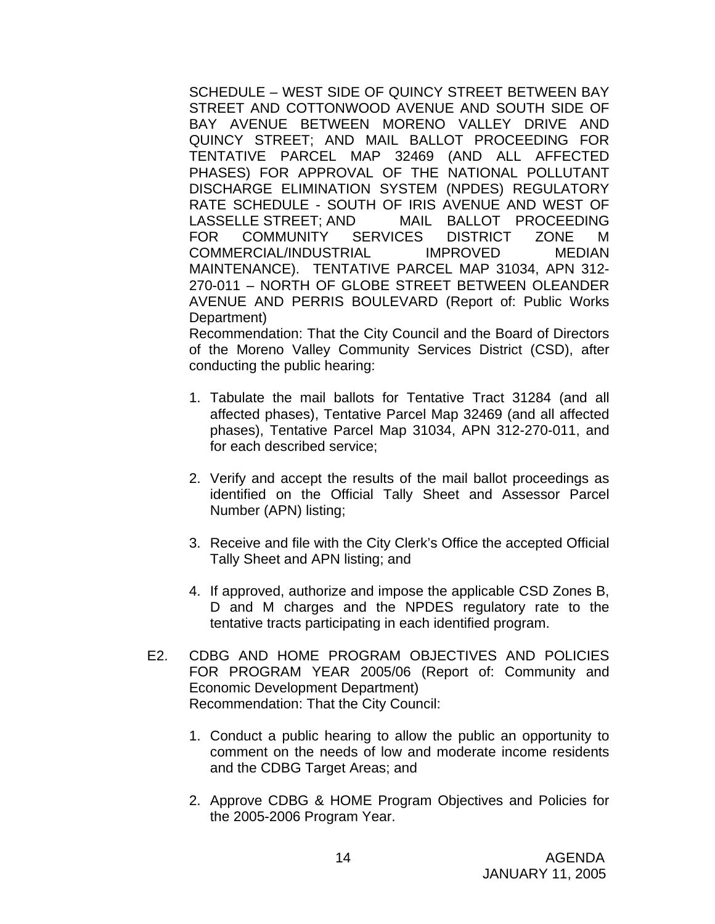SCHEDULE – WEST SIDE OF QUINCY STREET BETWEEN BAY STREET AND COTTONWOOD AVENUE AND SOUTH SIDE OF BAY AVENUE BETWEEN MORENO VALLEY DRIVE AND QUINCY STREET; AND MAIL BALLOT PROCEEDING FOR TENTATIVE PARCEL MAP 32469 (AND ALL AFFECTED PHASES) FOR APPROVAL OF THE NATIONAL POLLUTANT DISCHARGE ELIMINATION SYSTEM (NPDES) REGULATORY RATE SCHEDULE - SOUTH OF IRIS AVENUE AND WEST OF LASSELLE STREET; AND MAIL BALLOT PROCEEDING FOR COMMUNITY SERVICES DISTRICT ZONE M COMMERCIAL/INDUSTRIAL IMPROVED MEDIAN MAINTENANCE). TENTATIVE PARCEL MAP 31034, APN 312- 270-011 – NORTH OF GLOBE STREET BETWEEN OLEANDER AVENUE AND PERRIS BOULEVARD (Report of: Public Works Department)

 Recommendation: That the City Council and the Board of Directors of the Moreno Valley Community Services District (CSD), after conducting the public hearing:

- 1. Tabulate the mail ballots for Tentative Tract 31284 (and all affected phases), Tentative Parcel Map 32469 (and all affected phases), Tentative Parcel Map 31034, APN 312-270-011, and for each described service;
- 2. Verify and accept the results of the mail ballot proceedings as identified on the Official Tally Sheet and Assessor Parcel Number (APN) listing;
- 3. Receive and file with the City Clerk's Office the accepted Official Tally Sheet and APN listing; and
- 4. If approved, authorize and impose the applicable CSD Zones B, D and M charges and the NPDES regulatory rate to the tentative tracts participating in each identified program.
- E2. CDBG AND HOME PROGRAM OBJECTIVES AND POLICIES FOR PROGRAM YEAR 2005/06 (Report of: Community and Economic Development Department) Recommendation: That the City Council:
	- 1. Conduct a public hearing to allow the public an opportunity to comment on the needs of low and moderate income residents and the CDBG Target Areas; and
	- 2. Approve CDBG & HOME Program Objectives and Policies for the 2005-2006 Program Year.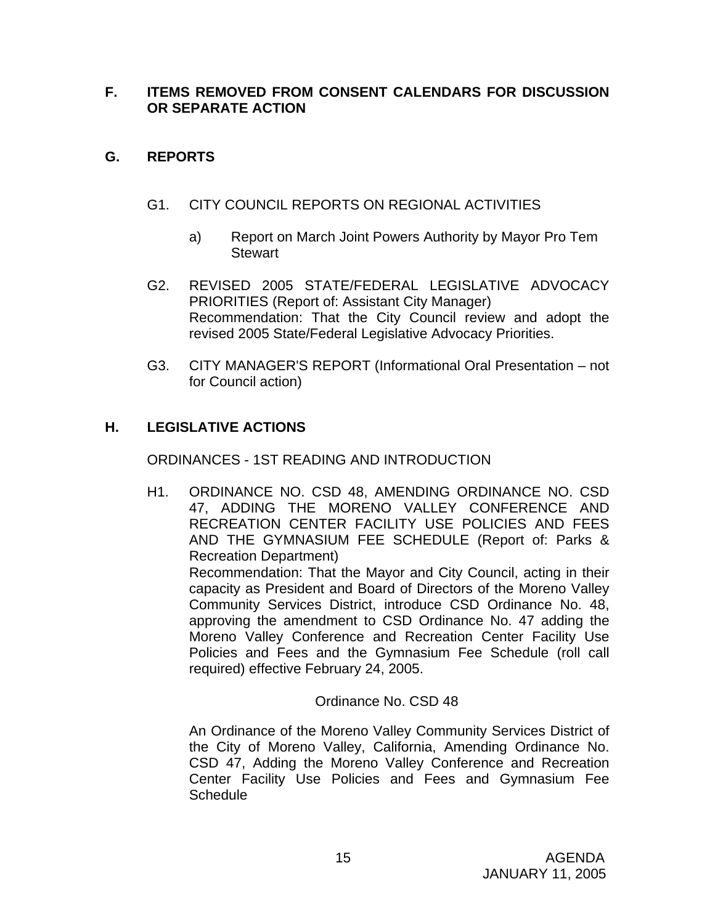## **F. ITEMS REMOVED FROM CONSENT CALENDARS FOR DISCUSSION OR SEPARATE ACTION**

## **G. REPORTS**

- G1. CITY COUNCIL REPORTS ON REGIONAL ACTIVITIES
	- a) Report on March Joint Powers Authority by Mayor Pro Tem **Stewart**
- G2. REVISED 2005 STATE/FEDERAL LEGISLATIVE ADVOCACY PRIORITIES (Report of: Assistant City Manager) Recommendation: That the City Council review and adopt the revised 2005 State/Federal Legislative Advocacy Priorities.
- G3. CITY MANAGER'S REPORT (Informational Oral Presentation not for Council action)

## **H. LEGISLATIVE ACTIONS**

ORDINANCES - 1ST READING AND INTRODUCTION

H1. ORDINANCE NO. CSD 48, AMENDING ORDINANCE NO. CSD 47, ADDING THE MORENO VALLEY CONFERENCE AND RECREATION CENTER FACILITY USE POLICIES AND FEES AND THE GYMNASIUM FEE SCHEDULE (Report of: Parks & Recreation Department) Recommendation: That the Mayor and City Council, acting in their capacity as President and Board of Directors of the Moreno Valley Community Services District, introduce CSD Ordinance No. 48, approving the amendment to CSD Ordinance No. 47 adding the Moreno Valley Conference and Recreation Center Facility Use Policies and Fees and the Gymnasium Fee Schedule (roll call required) effective February 24, 2005.

Ordinance No. CSD 48

An Ordinance of the Moreno Valley Community Services District of the City of Moreno Valley, California, Amending Ordinance No. CSD 47, Adding the Moreno Valley Conference and Recreation Center Facility Use Policies and Fees and Gymnasium Fee **Schedule**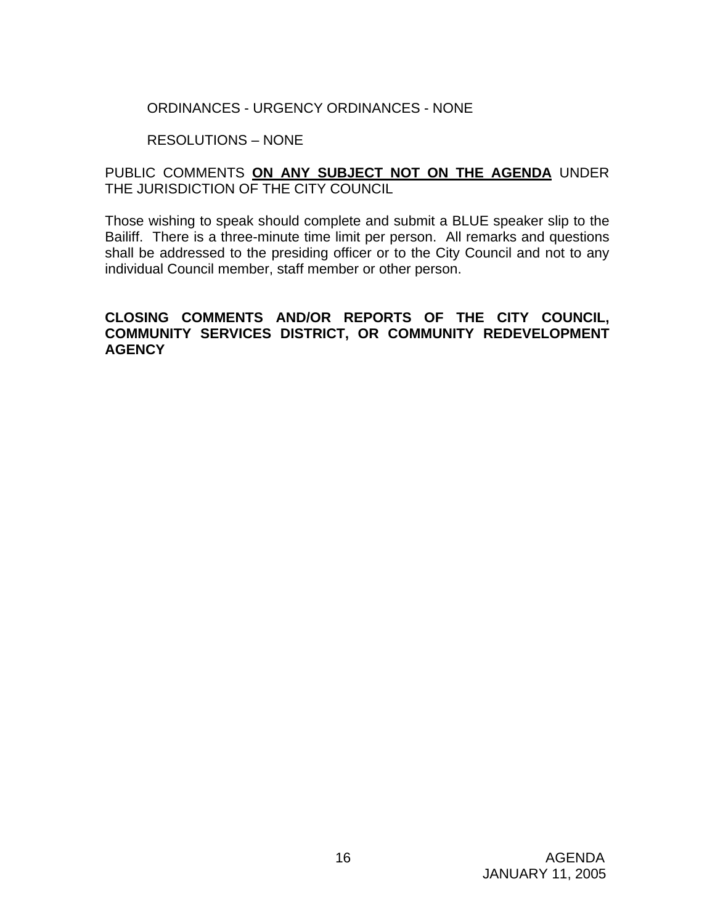## ORDINANCES - URGENCY ORDINANCES - NONE

## RESOLUTIONS – NONE

## PUBLIC COMMENTS **ON ANY SUBJECT NOT ON THE AGENDA** UNDER THE JURISDICTION OF THE CITY COUNCIL

Those wishing to speak should complete and submit a BLUE speaker slip to the Bailiff. There is a three-minute time limit per person. All remarks and questions shall be addressed to the presiding officer or to the City Council and not to any individual Council member, staff member or other person.

## **CLOSING COMMENTS AND/OR REPORTS OF THE CITY COUNCIL, COMMUNITY SERVICES DISTRICT, OR COMMUNITY REDEVELOPMENT AGENCY**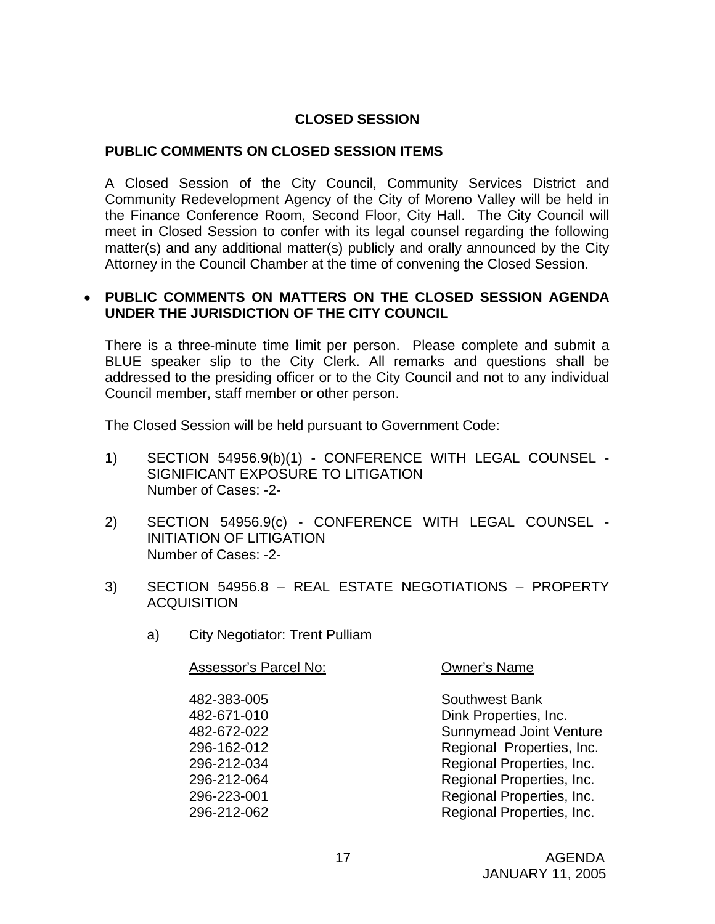## **CLOSED SESSION**

## **PUBLIC COMMENTS ON CLOSED SESSION ITEMS**

A Closed Session of the City Council, Community Services District and Community Redevelopment Agency of the City of Moreno Valley will be held in the Finance Conference Room, Second Floor, City Hall. The City Council will meet in Closed Session to confer with its legal counsel regarding the following matter(s) and any additional matter(s) publicly and orally announced by the City Attorney in the Council Chamber at the time of convening the Closed Session.

#### • **PUBLIC COMMENTS ON MATTERS ON THE CLOSED SESSION AGENDA UNDER THE JURISDICTION OF THE CITY COUNCIL**

There is a three-minute time limit per person. Please complete and submit a BLUE speaker slip to the City Clerk. All remarks and questions shall be addressed to the presiding officer or to the City Council and not to any individual Council member, staff member or other person.

The Closed Session will be held pursuant to Government Code:

- 1) SECTION 54956.9(b)(1) CONFERENCE WITH LEGAL COUNSEL SIGNIFICANT EXPOSURE TO LITIGATION Number of Cases: -2-
- 2) SECTION 54956.9(c) CONFERENCE WITH LEGAL COUNSEL INITIATION OF LITIGATION Number of Cases: -2-
- 3) SECTION 54956.8 REAL ESTATE NEGOTIATIONS PROPERTY **ACQUISITION** 
	- a) City Negotiator: Trent Pulliam

| <b>Assessor's Parcel No:</b> | <b>Owner's Name</b>            |
|------------------------------|--------------------------------|
| 482-383-005                  | <b>Southwest Bank</b>          |
| 482-671-010                  | Dink Properties, Inc.          |
| 482-672-022                  | <b>Sunnymead Joint Venture</b> |
| 296-162-012                  | Regional Properties, Inc.      |
| 296-212-034                  | Regional Properties, Inc.      |
| 296-212-064                  | Regional Properties, Inc.      |
| 296-223-001                  | Regional Properties, Inc.      |
| 296-212-062                  | Regional Properties, Inc.      |
|                              |                                |